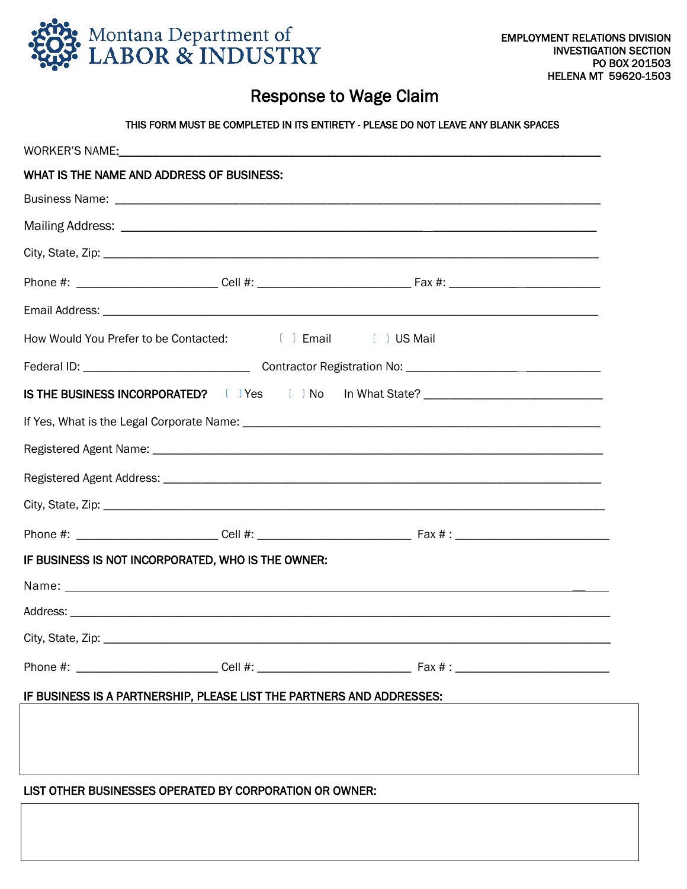

1  $\overline{\phantom{a}}$  $\overline{\phantom{a}}$  $\overline{\phantom{a}}$ 

I I I ֡֕֡֕

## Response to Wage Claim

## THIS FORM MUST BE COMPLETED IN ITS ENTIRETY - PLEASE DO NOT LEAVE ANY BLANK SPACES

| WHAT IS THE NAME AND ADDRESS OF BUSINESS:                                         |  |
|-----------------------------------------------------------------------------------|--|
|                                                                                   |  |
|                                                                                   |  |
|                                                                                   |  |
|                                                                                   |  |
|                                                                                   |  |
| How Would You Prefer to be Contacted: [ ] Email [ ] US Mail                       |  |
|                                                                                   |  |
| IS THE BUSINESS INCORPORATED? ( ) Yes ( ) No In What State? _____________________ |  |
|                                                                                   |  |
|                                                                                   |  |
|                                                                                   |  |
|                                                                                   |  |
|                                                                                   |  |
| IF BUSINESS IS NOT INCORPORATED, WHO IS THE OWNER:                                |  |
|                                                                                   |  |
|                                                                                   |  |
| City, State, Zip:                                                                 |  |
|                                                                                   |  |
| IF BUSINESS IS A PARTNERSHIP, PLEASE LIST THE PARTNERS AND ADDRESSES:             |  |
|                                                                                   |  |
|                                                                                   |  |
| LIST OTHER BUSINESSES OPERATED BY CORPORATION OR OWNER:                           |  |
|                                                                                   |  |
|                                                                                   |  |